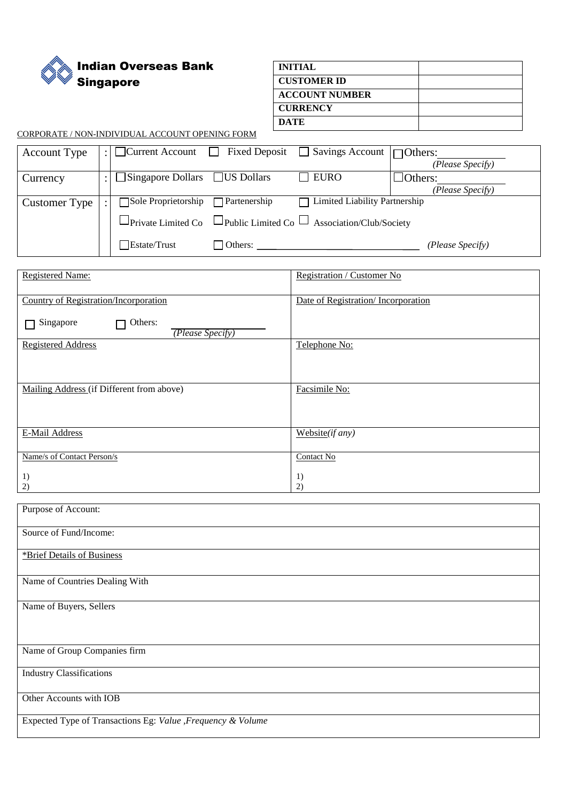Indian Overseas Bank Singapore

| <b>INITIAL</b>        |  |
|-----------------------|--|
| <b>CUSTOMER ID</b>    |  |
| <b>ACCOUNT NUMBER</b> |  |
| <b>CURRENCY</b>       |  |
| <b>DATE</b>           |  |

CORPORATE / NON-INDIVIDUAL ACCOUNT OPENING FORM

| <b>Account Type</b>  |                            |                     | : $\Box$ Current Account $\Box$ Fixed Deposit $\Box$ Savings Account $\Box$ Others: |                  |
|----------------------|----------------------------|---------------------|-------------------------------------------------------------------------------------|------------------|
|                      |                            |                     |                                                                                     | (Please Specify) |
| Currency             | $\Box$ Singapore Dollars   | $\Box$ US Dollars   | $\Box$ EURO                                                                         | $\Box$ Others:   |
|                      |                            |                     |                                                                                     | (Please Specify) |
| <b>Customer Type</b> | $\Box$ Sole Proprietorship | $\Box$ Partenership | Limited Liability Partnership                                                       |                  |
|                      |                            |                     | $\Box$ Private Limited Co $\Box$ Public Limited Co $\Box$ Association/Club/Society  |                  |
|                      | Estate/Trust               | Others:             |                                                                                     | (Please Specify) |

| <b>Registered Name:</b>                      | Registration / Customer No         |
|----------------------------------------------|------------------------------------|
| <b>Country of Registration/Incorporation</b> | Date of Registration/Incorporation |
| Others:<br>Singapore<br>(Please Specify)     |                                    |
| <b>Registered Address</b>                    | Telephone No:                      |
|                                              |                                    |
| Mailing Address (if Different from above)    | Facsimile No:                      |
|                                              |                                    |
| E-Mail Address                               | Website $(if any)$                 |
| Name/s of Contact Person/s                   | Contact No                         |
| 1)<br>2)                                     | 1)<br>2)                           |

| Purpose of Account:                                          |
|--------------------------------------------------------------|
| Source of Fund/Income:                                       |
| *Brief Details of Business                                   |
| Name of Countries Dealing With                               |
| Name of Buyers, Sellers                                      |
|                                                              |
| Name of Group Companies firm                                 |
| <b>Industry Classifications</b>                              |
| Other Accounts with IOB                                      |
| Expected Type of Transactions Eg: Value , Frequency & Volume |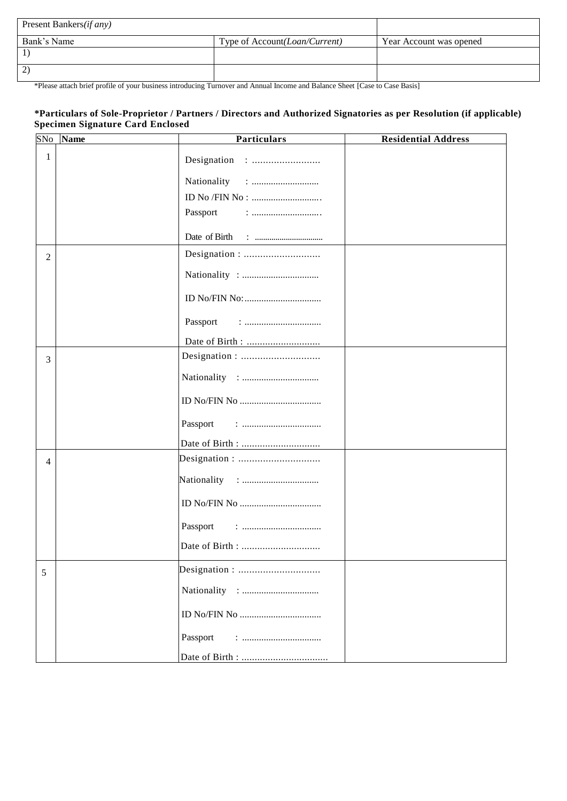| Present Bankers( <i>if any</i> ) |                                         |                         |
|----------------------------------|-----------------------------------------|-------------------------|
| Bank's Name                      | Type of Account ( <i>Loan/Current</i> ) | Year Account was opened |
|                                  |                                         |                         |
|                                  |                                         |                         |

\*Please attach brief profile of your business introducing Turnover and Annual Income and Balance Sheet [Case to Case Basis]

## **\*Particulars of Sole-Proprietor / Partners / Directors and Authorized Signatories as per Resolution (if applicable) Specimen Signature Card Enclosed**

| SNo            | <b>Name</b> | <b>Particulars</b>                                                          | <b>Residential Address</b> |
|----------------|-------------|-----------------------------------------------------------------------------|----------------------------|
| 1              |             |                                                                             |                            |
|                |             |                                                                             |                            |
|                |             |                                                                             |                            |
|                |             | Passport<br>$: \dots \dots \dots \dots \dots \dots \dots \dots \dots \dots$ |                            |
|                |             |                                                                             |                            |
| $\overline{2}$ |             |                                                                             |                            |
|                |             |                                                                             |                            |
|                |             |                                                                             |                            |
|                |             | Passport<br>$\vdots$                                                        |                            |
|                |             |                                                                             |                            |
| 3              |             |                                                                             |                            |
|                |             |                                                                             |                            |
|                |             |                                                                             |                            |
|                |             | Passport                                                                    |                            |
|                |             |                                                                             |                            |
| 4              |             |                                                                             |                            |
|                |             |                                                                             |                            |
|                |             |                                                                             |                            |
|                |             | Passport                                                                    |                            |
|                |             |                                                                             |                            |
| 5              |             |                                                                             |                            |
|                |             |                                                                             |                            |
|                |             |                                                                             |                            |
|                |             | Passport                                                                    |                            |
|                |             |                                                                             |                            |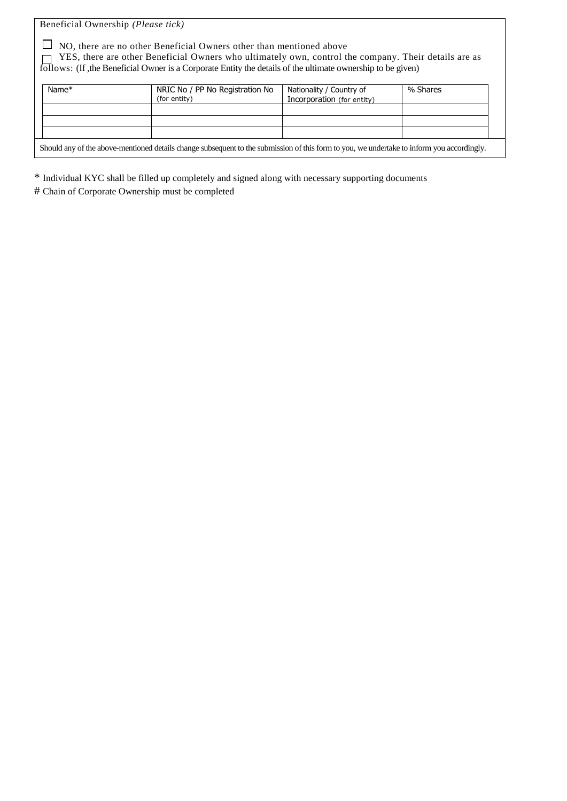Beneficial Ownership *(Please tick)*

 $\Box$  NO, there are no other Beneficial Owners other than mentioned above

 $\Box$  YES, there are other Beneficial Owners who ultimately own, control the company. Their details are as follows: (If ,the Beneficial Owner is a Corporate Entity the details of the ultimate ownership to be given)

| Name $*$                                                                                                                                   | NRIC No / PP No Registration No<br>(for entity) | Nationality / Country of<br>Incorporation (for entity) | % Shares |  |  |  |
|--------------------------------------------------------------------------------------------------------------------------------------------|-------------------------------------------------|--------------------------------------------------------|----------|--|--|--|
|                                                                                                                                            |                                                 |                                                        |          |  |  |  |
|                                                                                                                                            |                                                 |                                                        |          |  |  |  |
|                                                                                                                                            |                                                 |                                                        |          |  |  |  |
| Should any of the above-mentioned details change subsequent to the submission of this form to you, we undertake to inform you accordingly. |                                                 |                                                        |          |  |  |  |

\* Individual KYC shall be filled up completely and signed along with necessary supporting documents

# Chain of Corporate Ownership must be completed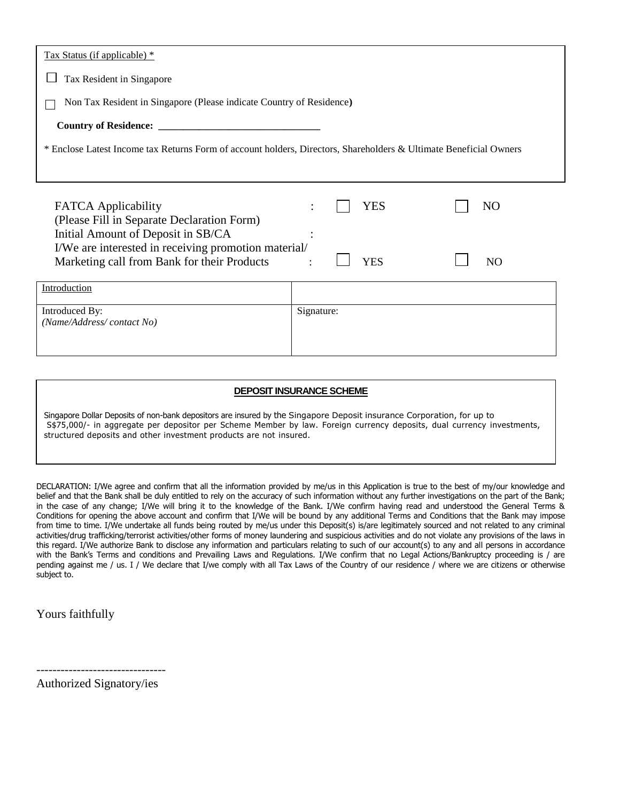| Tax Status (if applicable) *                                                                                      |                              |
|-------------------------------------------------------------------------------------------------------------------|------------------------------|
| Tax Resident in Singapore                                                                                         |                              |
| Non Tax Resident in Singapore (Please indicate Country of Residence)                                              |                              |
|                                                                                                                   |                              |
| * Enclose Latest Income tax Returns Form of account holders, Directors, Shareholders & Ultimate Beneficial Owners |                              |
|                                                                                                                   |                              |
| <b>FATCA</b> Applicability<br>(Please Fill in Separate Declaration Form)<br>Initial Amount of Deposit in SB/CA    | YES<br>N <sub>O</sub>        |
| I/We are interested in receiving promotion material/<br>Marketing call from Bank for their Products               | <b>YES</b><br>N <sub>O</sub> |
|                                                                                                                   |                              |
| Introduction                                                                                                      |                              |
| Introduced By:<br>(Name/Address/contact No)                                                                       | Signature:                   |

#### **DEPOSIT INSURANCE SCHEME**

Singapore Dollar Deposits of non-bank depositors are insured by the Singapore Deposit insurance Corporation, for up to S\$75,000/- in aggregate per depositor per Scheme Member by law. Foreign currency deposits, dual currency investments, structured deposits and other investment products are not insured.

DECLARATION: I/We agree and confirm that all the information provided by me/us in this Application is true to the best of my/our knowledge and belief and that the Bank shall be duly entitled to rely on the accuracy of such information without any further investigations on the part of the Bank; in the case of any change; I/We will bring it to the knowledge of the Bank. I/We confirm having read and understood the General Terms & Conditions for opening the above account and confirm that I/We will be bound by any additional Terms and Conditions that the Bank may impose from time to time. I/We undertake all funds being routed by me/us under this Deposit(s) is/are legitimately sourced and not related to any criminal activities/drug trafficking/terrorist activities/other forms of money laundering and suspicious activities and do not violate any provisions of the laws in this regard. I/We authorize Bank to disclose any information and particulars relating to such of our account(s) to any and all persons in accordance with the Bank's Terms and conditions and Prevailing Laws and Regulations. I/We confirm that no Legal Actions/Bankruptcy proceeding is / are pending against me / us. I / We declare that I/we comply with all Tax Laws of the Country of our residence / where we are citizens or otherwise subject to.

Yours faithfully

Authorized Signatory/ies

--------------------------------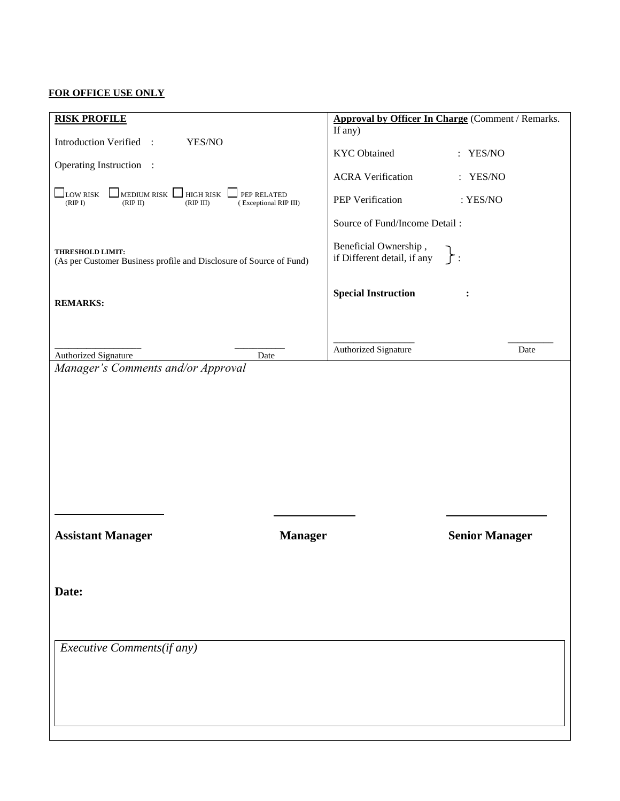## **FOR OFFICE USE ONLY**

| <b>RISK PROFILE</b>                                                                                                                      |                |                                                      | <b>Approval by Officer In Charge (Comment / Remarks.</b> |
|------------------------------------------------------------------------------------------------------------------------------------------|----------------|------------------------------------------------------|----------------------------------------------------------|
| Introduction Verified :<br>YES/NO                                                                                                        |                | If any)                                              |                                                          |
| Operating Instruction :                                                                                                                  |                | <b>KYC</b> Obtained                                  | : YES/NO                                                 |
|                                                                                                                                          |                | <b>ACRA Verification</b>                             | : YES/NO                                                 |
| <b>LOW RISK</b><br>$\Box$ MEDIUM RISK $\Box$ HIGH RISK<br>$\Box$ PEP RELATED<br>(RIPI)<br>(RIP II)<br>(RIP III)<br>(Exceptional RIP III) |                | PEP Verification                                     | : YES/NO                                                 |
|                                                                                                                                          |                | Source of Fund/Income Detail:                        |                                                          |
| <b>THRESHOLD LIMIT:</b><br>(As per Customer Business profile and Disclosure of Source of Fund)                                           |                | Beneficial Ownership,<br>if Different detail, if any | $\}$ :                                                   |
| <b>REMARKS:</b>                                                                                                                          |                | <b>Special Instruction</b>                           | :                                                        |
|                                                                                                                                          |                |                                                      |                                                          |
| Authorized Signature<br>Date                                                                                                             |                | Authorized Signature                                 | Date                                                     |
| Manager's Comments and/or Approval                                                                                                       |                |                                                      |                                                          |
|                                                                                                                                          |                |                                                      |                                                          |
|                                                                                                                                          |                |                                                      |                                                          |
|                                                                                                                                          |                |                                                      |                                                          |
|                                                                                                                                          |                |                                                      |                                                          |
|                                                                                                                                          |                |                                                      |                                                          |
|                                                                                                                                          |                |                                                      |                                                          |
|                                                                                                                                          |                |                                                      |                                                          |
|                                                                                                                                          |                |                                                      |                                                          |
| <b>Assistant Manager</b>                                                                                                                 | <b>Manager</b> |                                                      | <b>Senior Manager</b>                                    |
|                                                                                                                                          |                |                                                      |                                                          |
|                                                                                                                                          |                |                                                      |                                                          |
| Date:                                                                                                                                    |                |                                                      |                                                          |
|                                                                                                                                          |                |                                                      |                                                          |
|                                                                                                                                          |                |                                                      |                                                          |
| Executive Comments(if any)                                                                                                               |                |                                                      |                                                          |
|                                                                                                                                          |                |                                                      |                                                          |
|                                                                                                                                          |                |                                                      |                                                          |
|                                                                                                                                          |                |                                                      |                                                          |
|                                                                                                                                          |                |                                                      |                                                          |
|                                                                                                                                          |                |                                                      |                                                          |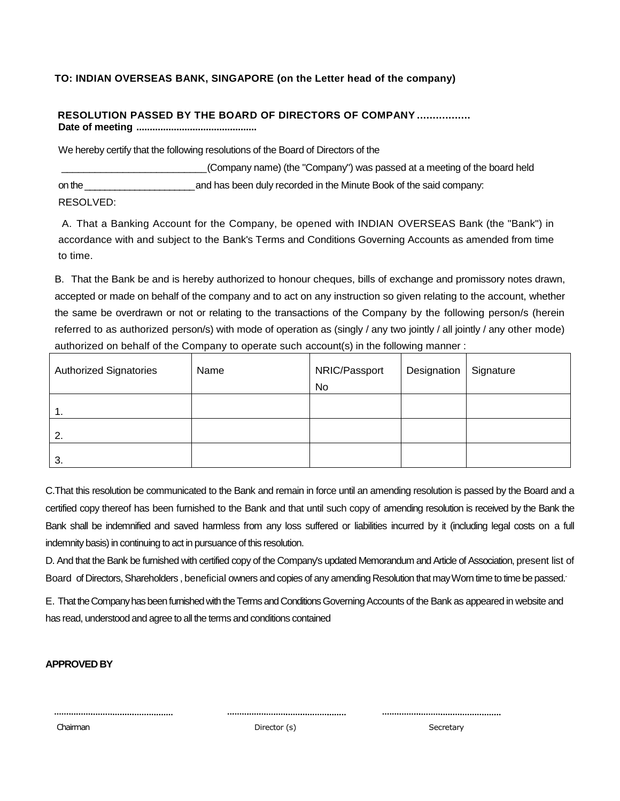## **TO: INDIAN OVERSEAS BANK, SINGAPORE (on the Letter head of the company)**

#### **RESOLUTION PASSED BY THE BOARD OF DIRECTORS OF COMPANY ................. Date of meeting .............................................**

We hereby certify that the following resolutions of the Board of Directors of the

\_\_\_\_\_\_\_\_\_\_\_\_\_\_\_\_\_\_\_\_\_\_\_\_\_\_(Company name) (the "Company") was passed at a meeting of the board held on the\_\_\_\_\_\_\_\_\_\_\_\_\_\_\_\_\_\_\_\_\_\_and has been duly recorded in the Minute Book of the said company: RESOLVED:

A. That a Banking Account for the Company, be opened with INDIAN OVERSEAS Bank (the "Bank") in accordance with and subject to the Bank's Terms and Conditions Governing Accounts as amended from time to time.

B. That the Bank be and is hereby authorized to honour cheques, bills of exchange and promissory notes drawn, accepted or made on behalf of the company and to act on any instruction so given relating to the account, whether the same be overdrawn or not or relating to the transactions of the Company by the following person/s (herein referred to as authorized person/s) with mode of operation as (singly / any two jointly / all jointly / any other mode) authorized on behalf of the Company to operate such account(s) in the following manner :

| <b>Authorized Signatories</b> | Name | NRIC/Passport<br>No | Designation | Signature |
|-------------------------------|------|---------------------|-------------|-----------|
|                               |      |                     |             |           |
| 1.                            |      |                     |             |           |
| 2.                            |      |                     |             |           |
| 3.                            |      |                     |             |           |

C.That this resolution be communicated to the Bank and remain in force until an amending resolution is passed by the Board and a certified copy thereof has been furnished to the Bank and that until such copy of amending resolution is received by the Bank the Bank shall be indemnified and saved harmless from any loss suffered or liabilities incurred by it (including legal costs on a full indemnity basis) in continuing to act in pursuance of this resolution.

D. And that the Bank be furnished with certified copy of the Company's updated Memorandum and Article of Association, present list of Board of Directors, Shareholders , beneficial owners and copies of any amending Resolution that may Worn time to time be passed.-

E. That the Company has been furnished with the Terms and Conditions Governing Accounts of the Bank as appeared in website and has read, understood and agree to all the terms and conditions contained

## **APPROVED BY**

Chairman Director (s) Secretary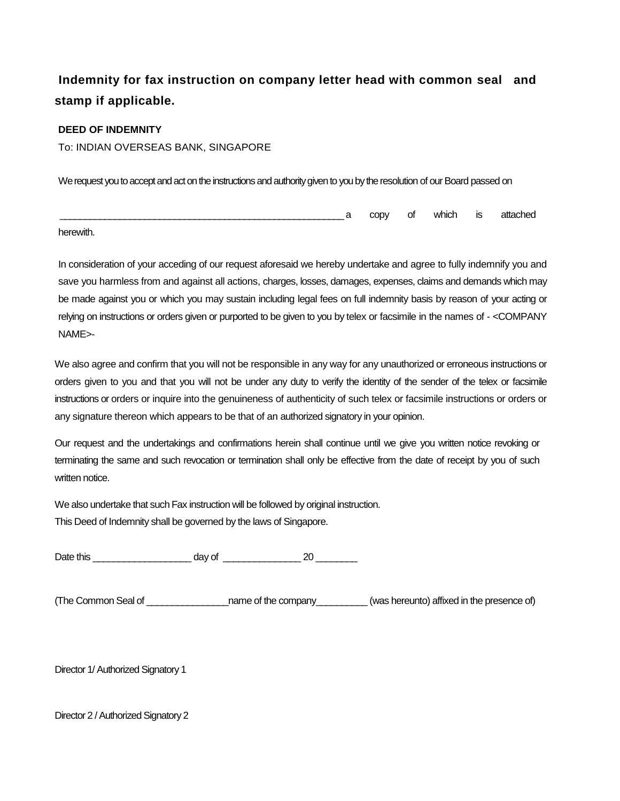# **Indemnity for fax instruction on company letter head with common seal and stamp if applicable.**

## **DEED OF INDEMNITY**

To: INDIAN OVERSEAS BANK, SINGAPORE

We request you to accept and act on the instructions and authority given to you by the resolution of our Board passed on

|  |  | CODV | Οt<br>$\sim$ | which<br>$\sim$ $\sim$ | ю<br>כו<br>$\overline{\phantom{a}}$ | <br>- 11 |
|--|--|------|--------------|------------------------|-------------------------------------|----------|
|--|--|------|--------------|------------------------|-------------------------------------|----------|

herewith.

In consideration of your acceding of our request aforesaid we hereby undertake and agree to fully indemnify you and save you harmless from and against all actions, charges, losses, damages, expenses, claims and demands which may be made against you or which you may sustain including legal fees on full indemnity basis by reason of your acting or relying on instructions or orders given or purported to be given to you by telex or facsimile in the names of - <COMPANY NAME>-

We also agree and confirm that you will not be responsible in any way for any unauthorized or erroneous instructions or orders given to you and that you will not be under any duty to verify the identity of the sender of the telex or facsimile instructions or orders or inquire into the genuineness of authenticity of such telex or facsimile instructions or orders or any signature thereon which appears to be that of an authorized signatory in your opinion.

Our request and the undertakings and confirmations herein shall continue until we give you written notice revoking or terminating the same and such revocation or termination shall only be effective from the date of receipt by you of such written notice.

We also undertake that such Fax instruction will be followed by original instruction.

This Deed of Indemnity shall be governed by the laws of Singapore.

Date this and a control day of the control of the control of the control of the control of  $20$ 

(The Common Seal of \_\_\_\_\_\_\_\_\_\_\_\_\_\_\_\_name of the company\_\_\_\_\_\_\_\_\_\_ (was hereunto) affixed in the presence of)

Director 1/ Authorized Signatory 1

Director 2 / Authorized Signatory 2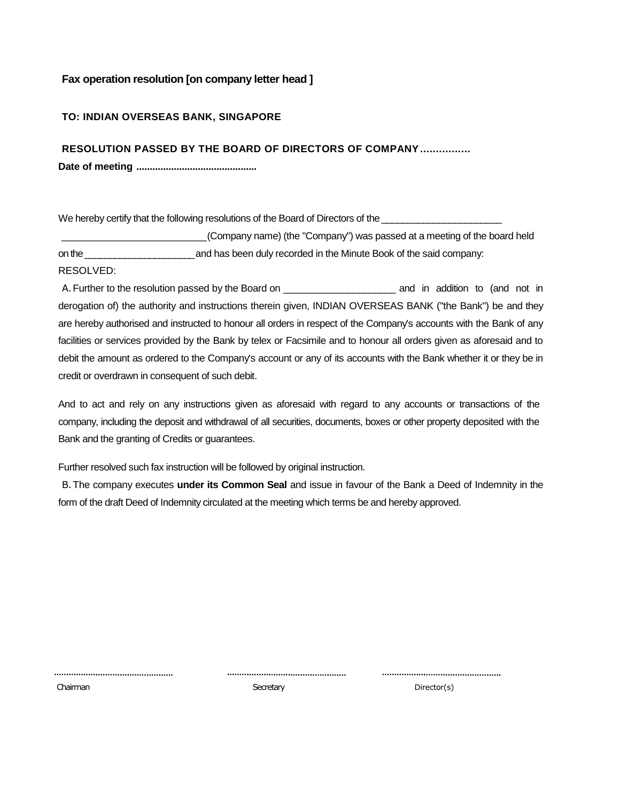## **Fax operation resolution [on company letter head ]**

## **TO: INDIAN OVERSEAS BANK, SINGAPORE**

**RESOLUTION PASSED BY THE BOARD OF DIRECTORS OF COMPANY................**

**Date of meeting .............................................**

We hereby certify that the following resolutions of the Board of Directors of the

\_\_\_\_\_\_\_\_\_\_\_\_\_\_\_\_\_\_\_\_\_\_\_\_\_\_(Company name) (the "Company") was passed at a meeting of the board held on the\_\_\_\_\_\_\_\_\_\_\_\_\_\_\_\_\_\_\_\_\_\_and has been duly recorded in the Minute Book of the said company: RESOLVED:

A. Further to the resolution passed by the Board on \_\_\_\_\_\_\_\_\_\_\_\_\_\_\_\_\_\_\_\_\_\_\_\_\_\_\_\_\_ and in addition to (and not in derogation of) the authority and instructions therein given, INDIAN OVERSEAS BANK ("the Bank") be and they are hereby authorised and instructed to honour all orders in respect of the Company's accounts with the Bank of any facilities or services provided by the Bank by telex or Facsimile and to honour all orders given as aforesaid and to debit the amount as ordered to the Company's account or any of its accounts with the Bank whether it or they be in credit or overdrawn in consequent of such debit.

And to act and rely on any instructions given as aforesaid with regard to any accounts or transactions of the company, including the deposit and withdrawal of all securities, documents, boxes or other property deposited with the Bank and the granting of Credits or guarantees.

Further resolved such fax instruction will be followed by original instruction.

B.The company executes **under its Common Seal** and issue in favour of the Bank a Deed of Indemnity in the form of the draft Deed of Indemnity circulated at the meeting which terms be and hereby approved.

Chairman Secretary Director(s)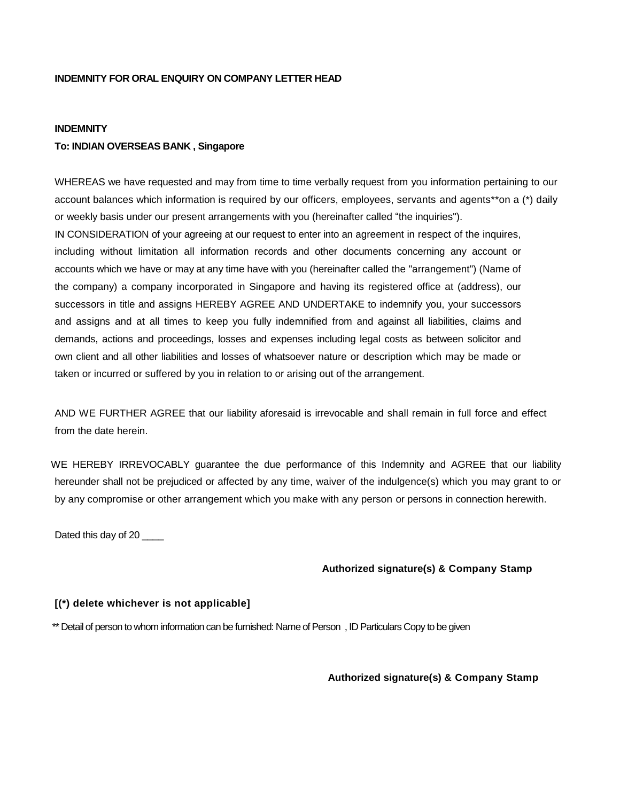## **INDEMNITY FOR ORAL ENQUIRY ON COMPANY LETTER HEAD**

#### **INDEMNITY**

#### **To: INDIAN OVERSEAS BANK , Singapore**

WHEREAS we have requested and may from time to time verbally request from you information pertaining to our account balances which information is required by our officers, employees, servants and agents\*\*on a (\*) daily or weekly basis under our present arrangements with you (hereinafter called "the inquiries"). IN CONSIDERATION of your agreeing at our request to enter into an agreement in respect of the inquires, including without limitation all information records and other documents concerning any account or accounts which we have or may at any time have with you (hereinafter called the "arrangement") (Name of the company) a company incorporated in Singapore and having its registered office at (address), our successors in title and assigns HEREBY AGREE AND UNDERTAKE to indemnify you, your successors and assigns and at all times to keep you fully indemnified from and against all liabilities, claims and demands, actions and proceedings, losses and expenses including legal costs as between solicitor and own client and all other liabilities and losses of whatsoever nature or description which may be made or taken or incurred or suffered by you in relation to or arising out of the arrangement.

AND WE FURTHER AGREE that our liability aforesaid is irrevocable and shall remain in full force and effect from the date herein.

WE HEREBY IRREVOCABLY guarantee the due performance of this Indemnity and AGREE that our liability hereunder shall not be prejudiced or affected by any time, waiver of the indulgence(s) which you may grant to or by any compromise or other arrangement which you make with any person or persons in connection herewith.

Dated this day of 20

#### **Authorized signature(s) & Company Stamp**

#### **[(\*) delete whichever is not applicable]**

\*\* Detail of person to whom information can be furnished: Name of Person , ID Particulars Copy to be given

**Authorized signature(s) & Company Stamp**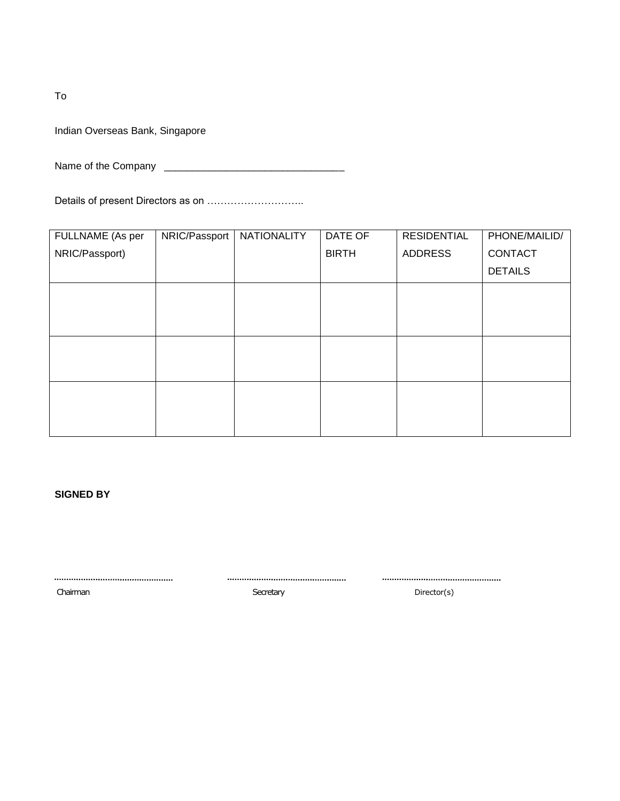To

Indian Overseas Bank, Singapore

Name of the Company \_\_\_\_\_\_\_\_\_\_\_\_\_\_\_\_\_\_\_\_\_\_\_\_\_\_\_\_\_\_\_\_

Details of present Directors as on ………………………..

| FULLNAME (As per | NRIC/Passport | NATIONALITY | DATE OF      | <b>RESIDENTIAL</b> | PHONE/MAILID/  |
|------------------|---------------|-------------|--------------|--------------------|----------------|
| NRIC/Passport)   |               |             | <b>BIRTH</b> | <b>ADDRESS</b>     | CONTACT        |
|                  |               |             |              |                    | <b>DETAILS</b> |
|                  |               |             |              |                    |                |
|                  |               |             |              |                    |                |
|                  |               |             |              |                    |                |
|                  |               |             |              |                    |                |
|                  |               |             |              |                    |                |
|                  |               |             |              |                    |                |
|                  |               |             |              |                    |                |
|                  |               |             |              |                    |                |

**SIGNED BY**

 $\begin{minipage}{.4\linewidth} \begin{tabular}{l} \textbf{1} & \textbf{2} & \textbf{3} & \textbf{4} & \textbf{5} & \textbf{6} & \textbf{6} & \textbf{7} & \textbf{8} & \textbf{9} & \textbf{10} & \textbf{10} & \textbf{10} & \textbf{10} & \textbf{10} & \textbf{10} & \textbf{10} & \textbf{10} & \textbf{10} & \textbf{10} & \textbf{10} & \textbf{10} & \textbf{10} & \textbf{10} & \textbf{10} & \textbf{10} & \text$ Chairman **Chairman** Secretary Secretary Secretary Director(s)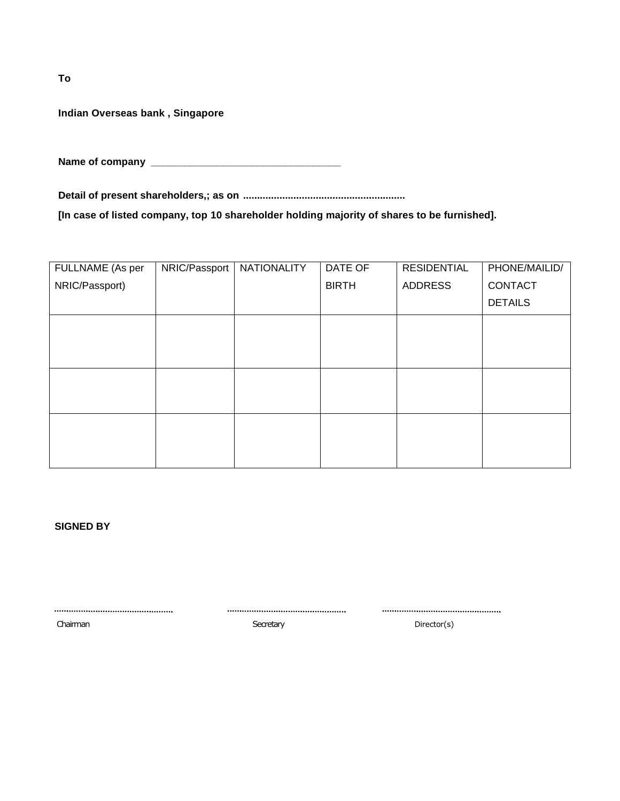**To**

**Indian Overseas bank , Singapore**

**Name of company \_\_\_\_\_\_\_\_\_\_\_\_\_\_\_\_\_\_\_\_\_\_\_\_\_\_\_\_\_\_\_\_\_\_**

**Detail of present shareholders,; as on ..........................................................**

**[In case of listed company, top 10 shareholder holding majority of shares to be furnished].**

| FULLNAME (As per | NRIC/Passport | NATIONALITY | DATE OF      | <b>RESIDENTIAL</b> | PHONE/MAILID/  |
|------------------|---------------|-------------|--------------|--------------------|----------------|
| NRIC/Passport)   |               |             | <b>BIRTH</b> | <b>ADDRESS</b>     | CONTACT        |
|                  |               |             |              |                    | <b>DETAILS</b> |
|                  |               |             |              |                    |                |
|                  |               |             |              |                    |                |
|                  |               |             |              |                    |                |
|                  |               |             |              |                    |                |
|                  |               |             |              |                    |                |
|                  |               |             |              |                    |                |
|                  |               |             |              |                    |                |
|                  |               |             |              |                    |                |

**SIGNED BY**

Chairman Director(s) and Director(s) Secretary Secretary Director(s)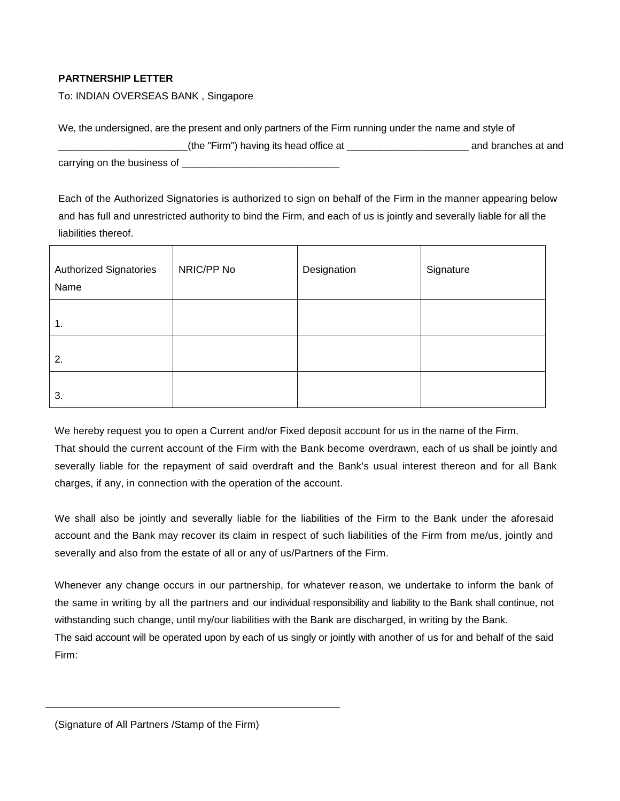## **PARTNERSHIP LETTER**

To: INDIAN OVERSEAS BANK , Singapore

| We, the undersigned, are the present and only partners of the Firm running under the name and style of |                     |  |  |  |  |
|--------------------------------------------------------------------------------------------------------|---------------------|--|--|--|--|
| (the "Firm") having its head office at                                                                 | and branches at and |  |  |  |  |
| carrying on the business of                                                                            |                     |  |  |  |  |

Each of the Authorized Signatories is authorized to sign on behalf of the Firm in the manner appearing below and has full and unrestricted authority to bind the Firm, and each of us is jointly and severally liable for all the liabilities thereof.

| <b>Authorized Signatories</b><br>Name | NRIC/PP No | Designation | Signature |
|---------------------------------------|------------|-------------|-----------|
| 1.                                    |            |             |           |
| 2.                                    |            |             |           |
| 3.                                    |            |             |           |

We hereby request you to open a Current and/or Fixed deposit account for us in the name of the Firm.

That should the current account of the Firm with the Bank become overdrawn, each of us shall be jointly and severally liable for the repayment of said overdraft and the Bank's usual interest thereon and for all Bank charges, if any, in connection with the operation of the account.

We shall also be jointly and severally liable for the liabilities of the Firm to the Bank under the aforesaid account and the Bank may recover its claim in respect of such liabilities of the Firm from me/us, jointly and severally and also from the estate of all or any of us/Partners of the Firm.

Whenever any change occurs in our partnership, for whatever reason, we undertake to inform the bank of the same in writing by all the partners and our individual responsibility and liability to the Bank shall continue, not withstanding such change, until my/our liabilities with the Bank are discharged, in writing by the Bank.

The said account will be operated upon by each of us singly or jointly with another of us for and behalf of the said Firm:

(Signature of All Partners /Stamp of the Firm)